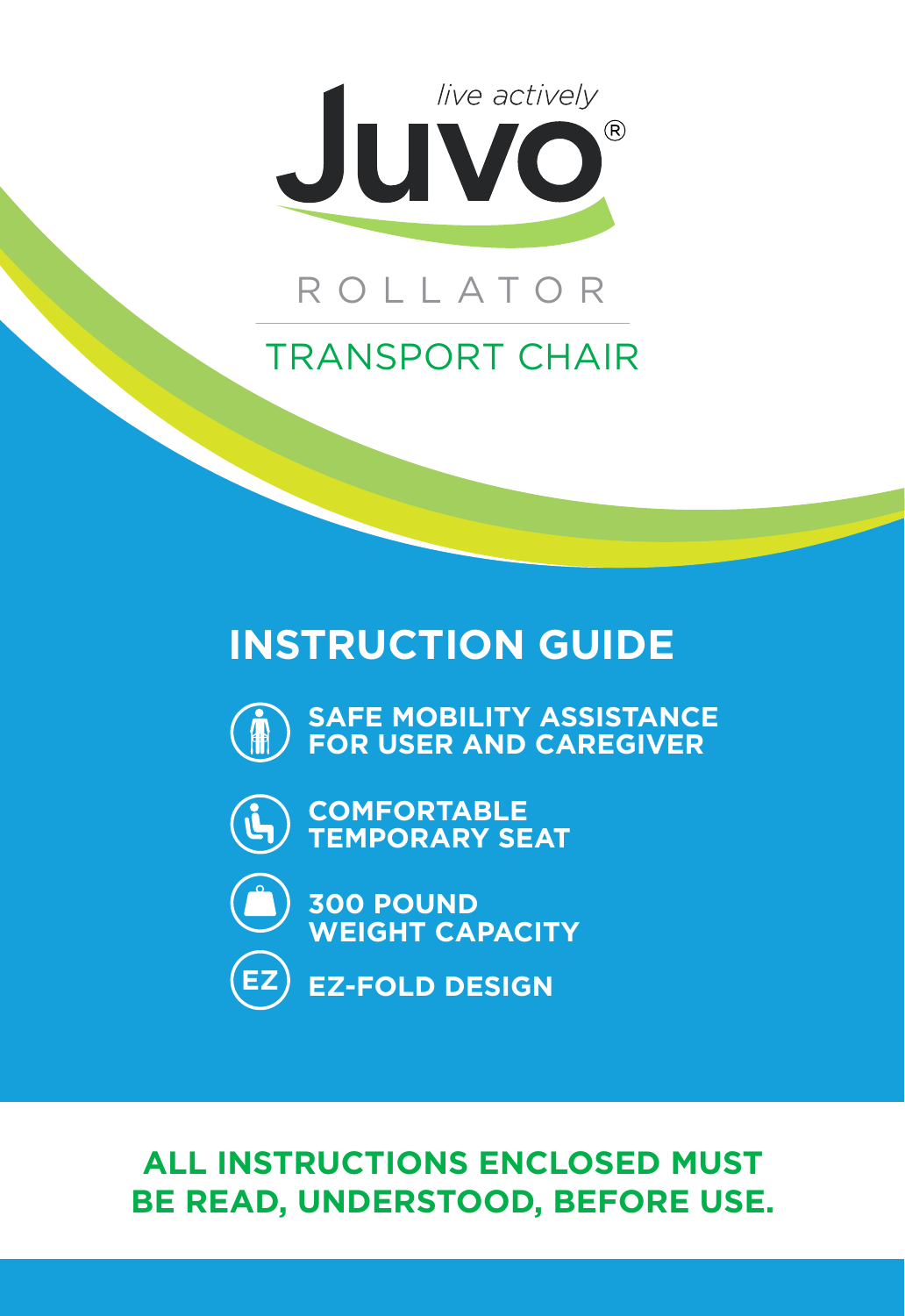

## ROLLATOR

## TRANSPORT CHAIR

# **INSTRUCTION GUIDE**



**SAFE MOBILITY ASSISTANCE FOR USER AND CAREGIVER**



**COMFORTABLE TEMPORARY SEAT**



**300 POUND WEIGHT CAPACITY**



**EZ-FOLD DESIGN**

## **ALL INSTRUCTIONS ENCLOSED MUST BE READ, UNDERSTOOD, BEFORE USE.**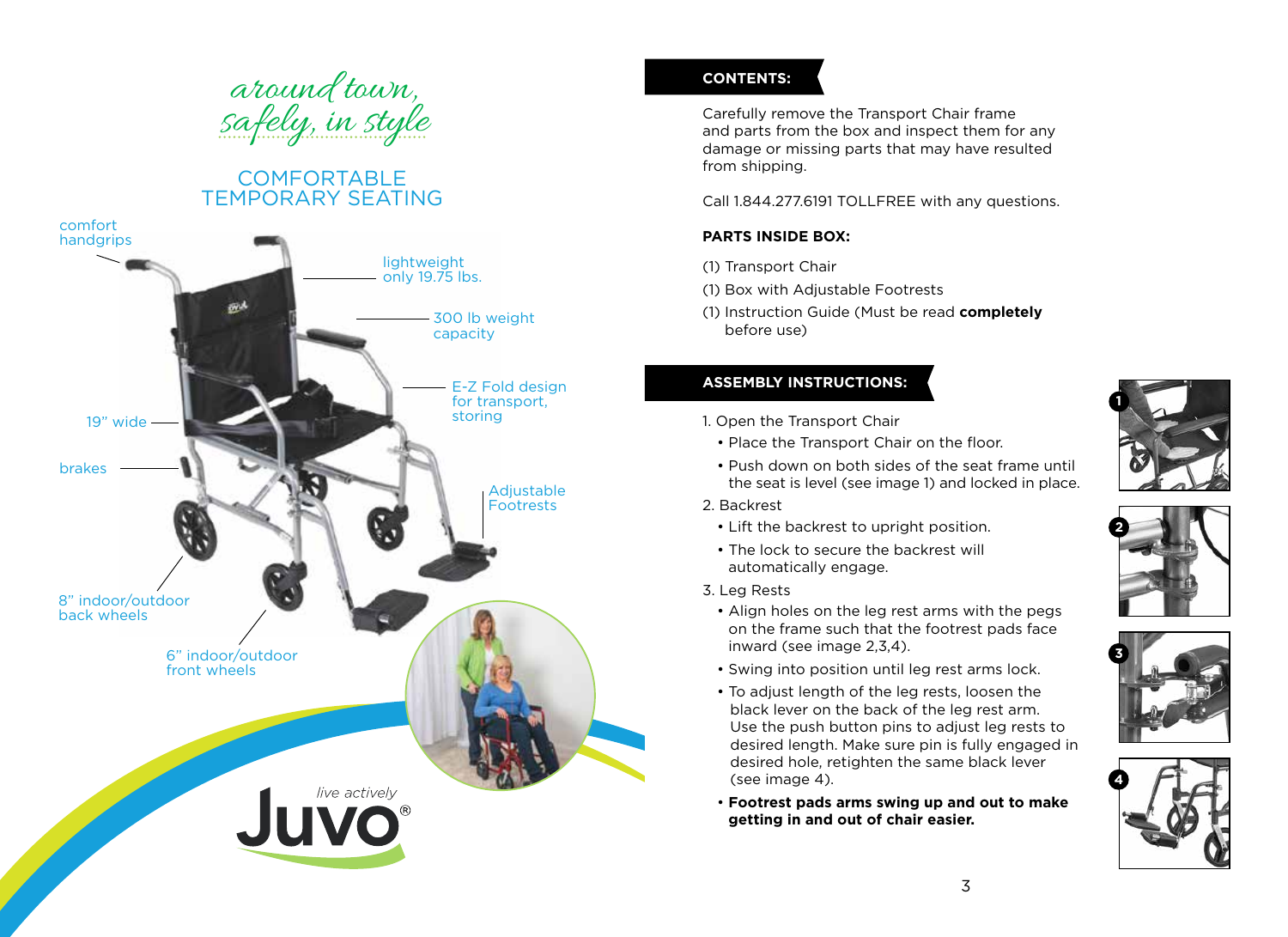

## COMFORTABLE TEMPORARY SEATING



### **CONTENTS:**

Carefully remove the Transport Chair frame and parts from the box and inspect them for any damage or missing parts that may have resulted from shipping.

Call 1.844.277.6191 TOLLFREE with any questions.

#### **PARTS INSIDE BOX:**

- (1) Transport Chair
- (1) Box with Adjustable Footrests
- (1) Instruction Guide (Must be read **completely** before use)

#### **ASSEMBLY INSTRUCTIONS:**

- 1. Open the Transport Chair
	- Place the Transport Chair on the floor.
	- Push down on both sides of the seat frame until the seat is level (see image 1) and locked in place.
- 2. Backrest
	- Lift the backrest to upright position.
	- The lock to secure the backrest will automatically engage.
- 3. Leg Rests
	- Align holes on the leg rest arms with the pegs on the frame such that the footrest pads face inward (see image 2,3,4).
	- Swing into position until leg rest arms lock.
	- To adjust length of the leg rests, loosen the black lever on the back of the leg rest arm. Use the push button pins to adjust leg rests to desired length. Make sure pin is fully engaged in desired hole, retighten the same black lever (see image 4).
	- **Footrest pads arms swing up and out to make getting in and out of chair easier.**







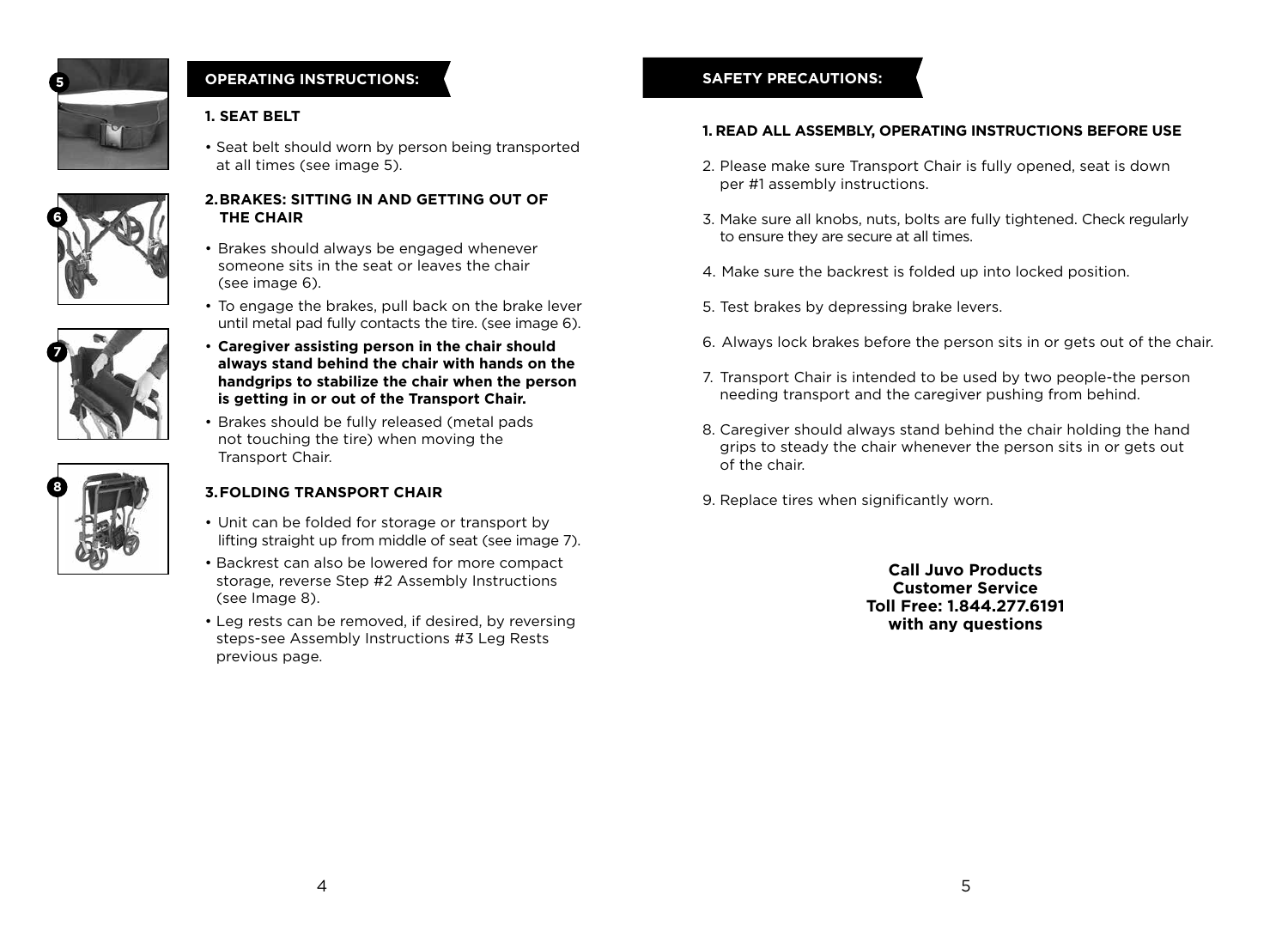

### **OPERATING INSTRUCTIONS:**

#### **1. SEAT BELT**

• Seat belt should worn by person being transported at all times (see image 5).



#### **2. BRAKES: SITTING IN AND GETTING OUT OF THE CHAIR**

- Brakes should always be engaged whenever someone sits in the seat or leaves the chair (see image 6).
- To engage the brakes, pull back on the brake lever until metal pad fully contacts the tire. (see image 6).
- **Caregiver assisting person in the chair should always stand behind the chair with hands on the handgrips to stabilize the chair when the person is getting in or out of the Transport Chair.**
- Brakes should be fully released (metal pads not touching the tire) when moving the Transport Chair.

#### **3.FOLDING TRANSPORT CHAIR**

- Unit can be folded for storage or transport by lifting straight up from middle of seat (see image 7).
- Backrest can also be lowered for more compact storage, reverse Step #2 Assembly Instructions (see Image 8).
- Leg rests can be removed, if desired, by reversing steps-see Assembly Instructions #3 Leg Rests previous page.

### **SAFETY PRECAUTIONS:**

#### **1. READ ALL ASSEMBLY, OPERATING INSTRUCTIONS BEFORE USE**

- 2. Please make sure Transport Chair is fully opened, seat is down per #1 assembly instructions.
- 3. Make sure all knobs, nuts, bolts are fully tightened. Check regularly to ensure they are secure at all times.
- 4. Make sure the backrest is folded up into locked position.
- 5. Test brakes by depressing brake levers.
- 6. Always lock brakes before the person sits in or gets out of the chair.
- 7. Transport Chair is intended to be used by two people-the person needing transport and the caregiver pushing from behind.
- 8. Caregiver should always stand behind the chair holding the hand grips to steady the chair whenever the person sits in or gets out of the chair.
- 9. Replace tires when significantly worn.

**Call Juvo Products Customer Service Toll Free: 1.844.277.6191 with any questions**



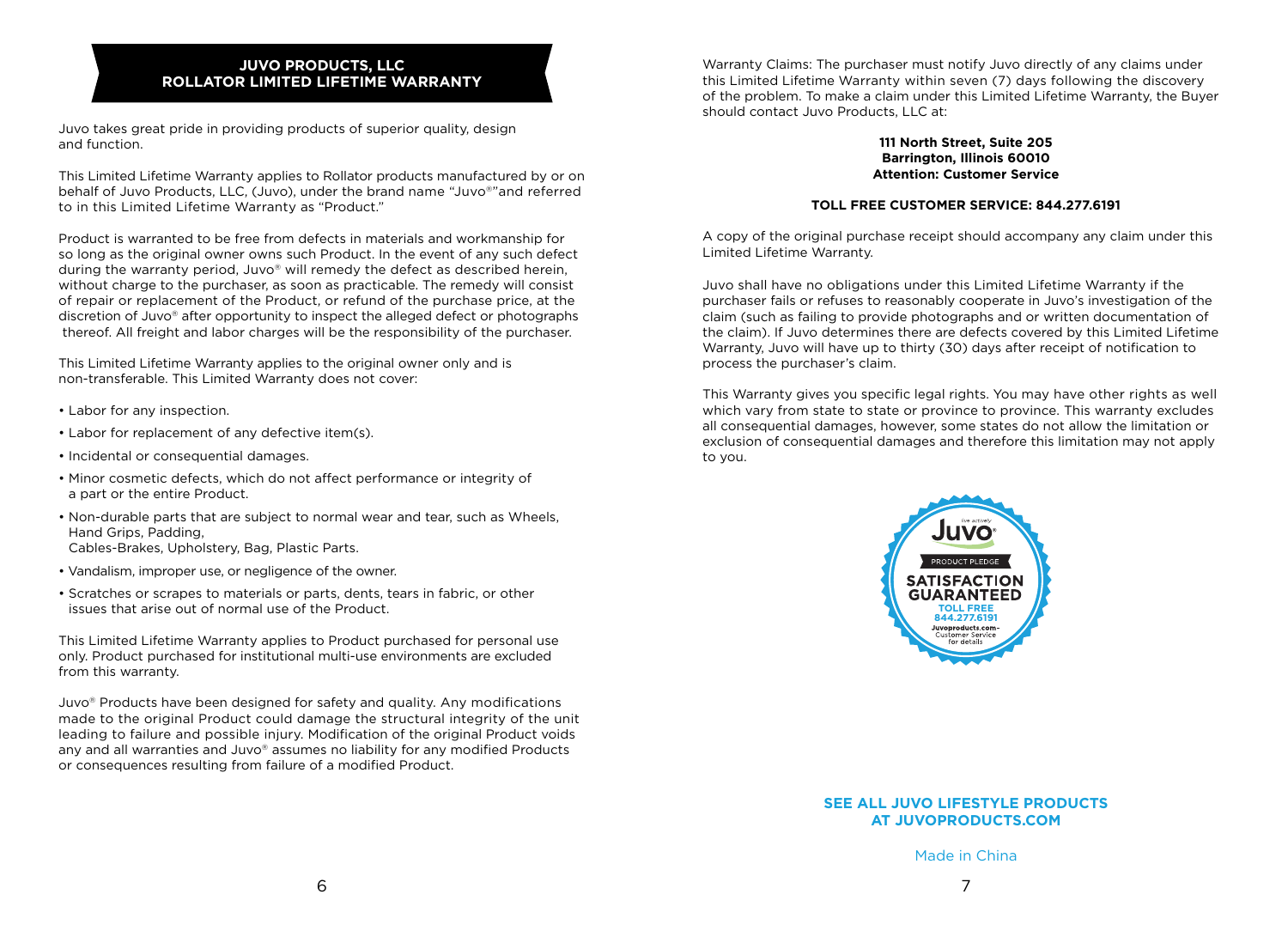#### **JUVO PRODUCTS, LLC ROLLATOR LIMITED LIFETIME WARRANTY**

Juvo takes great pride in providing products of superior quality, design and function.

This Limited Lifetime Warranty applies to Rollator products manufactured by or on behalf of Juvo Products, LLC, (Juvo), under the brand name "Juvo®"and referred to in this Limited Lifetime Warranty as "Product."

Product is warranted to be free from defects in materials and workmanship for so long as the original owner owns such Product. In the event of any such defect during the warranty period, Juvo® will remedy the defect as described herein, without charge to the purchaser, as soon as practicable. The remedy will consist of repair or replacement of the Product, or refund of the purchase price, at the discretion of Juvo® after opportunity to inspect the alleged defect or photographs thereof. All freight and labor charges will be the responsibility of the purchaser.

This Limited Lifetime Warranty applies to the original owner only and is non-transferable. This Limited Warranty does not cover:

- Labor for any inspection.
- Labor for replacement of any defective item(s).
- Incidental or consequential damages.
- Minor cosmetic defects, which do not affect performance or integrity of a part or the entire Product.
- Non-durable parts that are subject to normal wear and tear, such as Wheels, Hand Grips, Padding, Cables-Brakes, Upholstery, Bag, Plastic Parts.
- Vandalism, improper use, or negligence of the owner.
- Scratches or scrapes to materials or parts, dents, tears in fabric, or other issues that arise out of normal use of the Product.

This Limited Lifetime Warranty applies to Product purchased for personal use only. Product purchased for institutional multi-use environments are excluded from this warranty.

Juvo® Products have been designed for safety and quality. Any modifications made to the original Product could damage the structural integrity of the unit leading to failure and possible injury. Modification of the original Product voids any and all warranties and Juvo® assumes no liability for any modified Products or consequences resulting from failure of a modified Product.

Warranty Claims: The purchaser must notify Juvo directly of any claims under this Limited Lifetime Warranty within seven (7) days following the discovery of the problem. To make a claim under this Limited Lifetime Warranty, the Buyer should contact Juvo Products, LLC at:

#### **111 North Street, Suite 205 Barrington, Illinois 60010 Attention: Customer Service**

#### **TOLL FREE CUSTOMER SERVICE: 844.277.6191**

A copy of the original purchase receipt should accompany any claim under this Limited Lifetime Warranty.

Juvo shall have no obligations under this Limited Lifetime Warranty if the purchaser fails or refuses to reasonably cooperate in Juvo's investigation of the claim (such as failing to provide photographs and or written documentation of the claim). If Juvo determines there are defects covered by this Limited Lifetime Warranty, Juvo will have up to thirty (30) days after receipt of notification to process the purchaser's claim.

This Warranty gives you specific legal rights. You may have other rights as well which vary from state to state or province to province. This warranty excludes all consequential damages, however, some states do not allow the limitation or exclusion of consequential damages and therefore this limitation may not apply to you.



#### **SEE ALL JUVO LIFESTYLE PRODUCTS AT JUVOPRODUCTS.COM**

Made in China